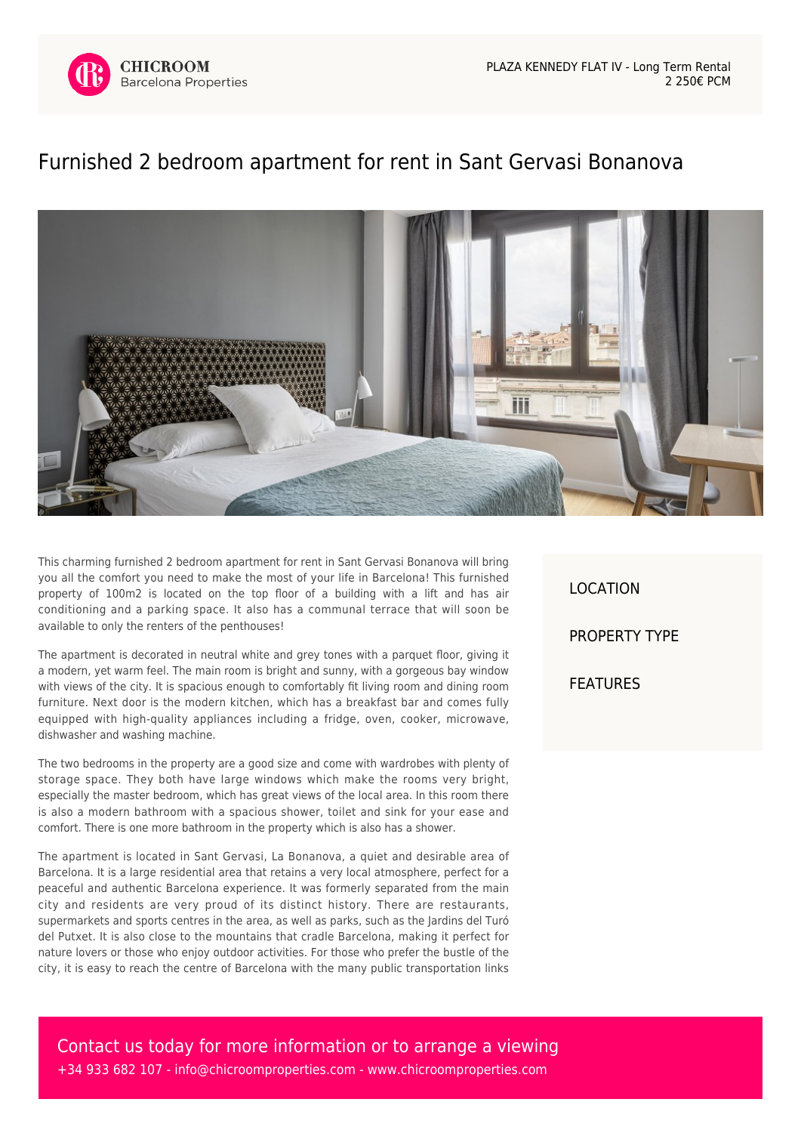

## [Furnished 2 bedroom apartment for rent in Sant Gervasi Bonanova](https://www.chicroomproperties.com/en/property/930/furnished-2-bedroom-apartment-for-rent-in-sant-gervasi-bonanova/)



This charming furnished 2 bedroom apartment for rent in Sant Gervasi Bonanova will bring you all the comfort you need to make the most of your life in Barcelona! This furnished property of 100m2 is located on the top floor of a building with a lift and has air conditioning and a parking space. It also has a communal terrace that will soon be available to only the renters of the penthouses!

The apartment is decorated in neutral white and grey tones with a parquet floor, giving it a modern, yet warm feel. The main room is bright and sunny, with a gorgeous bay window with views of the city. It is spacious enough to comfortably fit living room and dining room furniture. Next door is the modern kitchen, which has a breakfast bar and comes fully equipped with high-quality appliances including a fridge, oven, cooker, microwave, dishwasher and washing machine.

The two bedrooms in the property are a good size and come with wardrobes with plenty of storage space. They both have large windows which make the rooms very bright, especially the master bedroom, which has great views of the local area. In this room there is also a modern bathroom with a spacious shower, toilet and sink for your ease and comfort. There is one more bathroom in the property which is also has a shower.

The apartment is located in Sant Gervasi, La Bonanova, a quiet and desirable area of Barcelona. It is a large residential area that retains a very local atmosphere, perfect for a peaceful and authentic Barcelona experience. It was formerly separated from the main city and residents are very proud of its distinct history. There are restaurants, supermarkets and sports centres in the area, as well as parks, such as the Jardins del Turó del Putxet. It is also close to the mountains that cradle Barcelona, making it perfect for nature lovers or those who enjoy outdoor activities. For those who prefer the bustle of the city, it is easy to reach the centre of Barcelona with the many public transportation links

LOCATION PROPERTY TYPE FEATURES

Contact us today for more information or to arrange a viewing +34 933 682 107 - [info@chicroomproperties.com](mailto:info@chicroomproperties.com) - [www.chicroomproperties.com](http://www.chicroomproperties.com)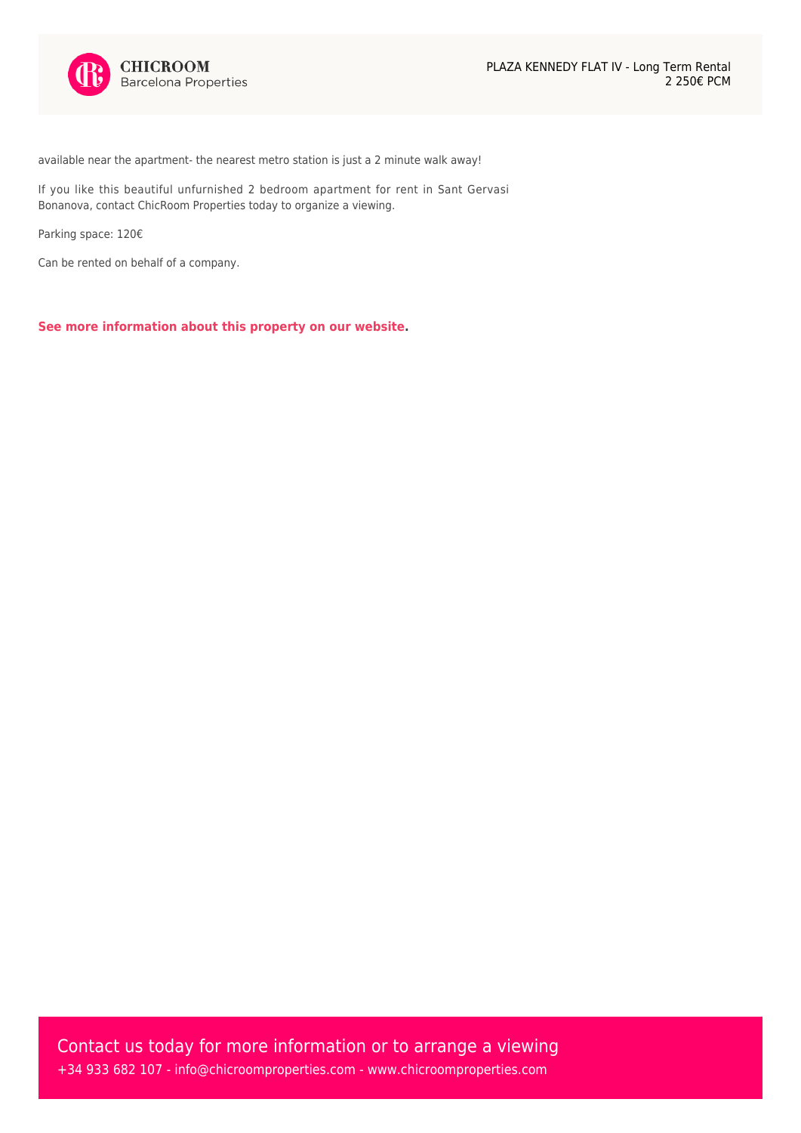

available near the apartment- the nearest metro station is just a 2 minute walk away!

If you like this beautiful unfurnished 2 bedroom apartment for rent in Sant Gervasi Bonanova, contact ChicRoom Properties today to organize a viewing.

Parking space: 120€

Can be rented on behalf of a company.

**[See more information about this property on our website.](https://www.chicroomproperties.com/en/property/930/furnished-2-bedroom-apartment-for-rent-in-sant-gervasi-bonanova/)**